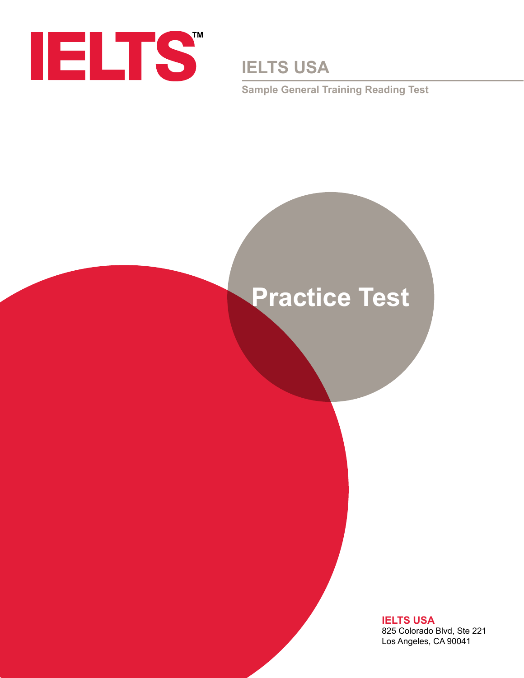

**IELTS USA**

**Sample General Training Reading Test**

# **Practice Test**

**IELTS USA** 825 Colorado Blvd, Ste 221 Los Angeles, CA 90041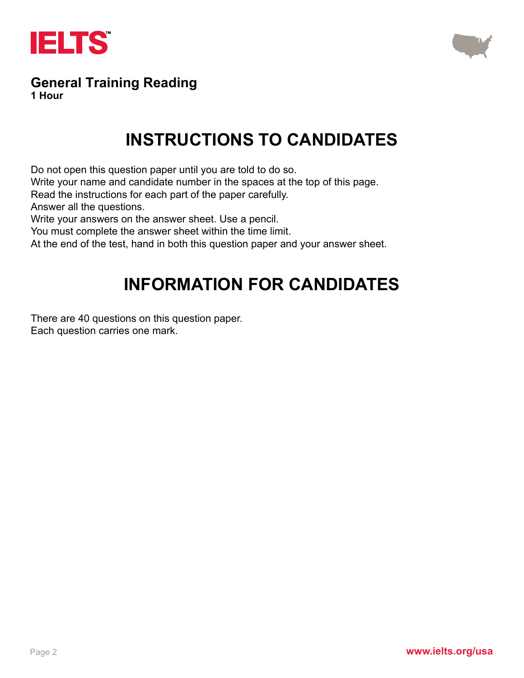



#### **General Training Reading 1 Hour**

# **INSTRUCTIONS TO CANDIDATES**

Do not open this question paper until you are told to do so.

Write your name and candidate number in the spaces at the top of this page.

Read the instructions for each part of the paper carefully.

Answer all the questions.

Write your answers on the answer sheet. Use a pencil.

You must complete the answer sheet within the time limit.

At the end of the test, hand in both this question paper and your answer sheet.

# **INFORMATION FOR CANDIDATES**

There are 40 questions on this question paper. Each question carries one mark.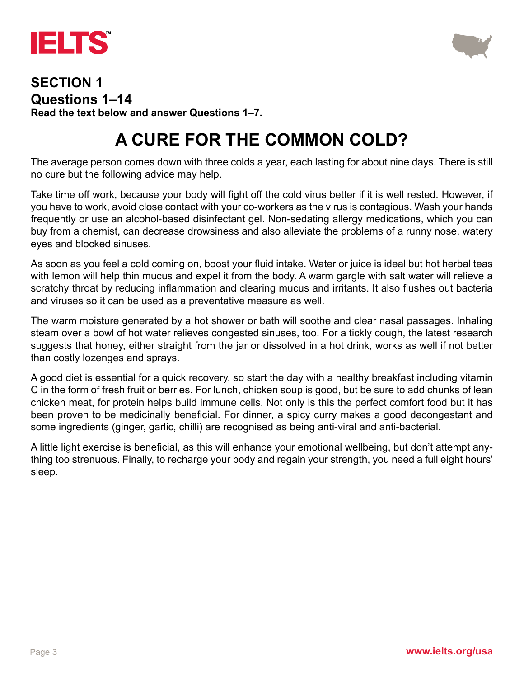



#### **SECTION 1 Questions 1–14 Read the text below and answer Questions 1–7.**

# **A CURE FOR THE COMMON COLD?**

The average person comes down with three colds a year, each lasting for about nine days. There is still no cure but the following advice may help.

Take time off work, because your body will fight off the cold virus better if it is well rested. However, if you have to work, avoid close contact with your co-workers as the virus is contagious. Wash your hands frequently or use an alcohol-based disinfectant gel. Non-sedating allergy medications, which you can buy from a chemist, can decrease drowsiness and also alleviate the problems of a runny nose, watery eyes and blocked sinuses.

As soon as you feel a cold coming on, boost your fluid intake. Water or juice is ideal but hot herbal teas with lemon will help thin mucus and expel it from the body. A warm gargle with salt water will relieve a scratchy throat by reducing inflammation and clearing mucus and irritants. It also flushes out bacteria and viruses so it can be used as a preventative measure as well.

The warm moisture generated by a hot shower or bath will soothe and clear nasal passages. Inhaling steam over a bowl of hot water relieves congested sinuses, too. For a tickly cough, the latest research suggests that honey, either straight from the jar or dissolved in a hot drink, works as well if not better than costly lozenges and sprays.

A good diet is essential for a quick recovery, so start the day with a healthy breakfast including vitamin C in the form of fresh fruit or berries. For lunch, chicken soup is good, but be sure to add chunks of lean chicken meat, for protein helps build immune cells. Not only is this the perfect comfort food but it has been proven to be medicinally beneficial. For dinner, a spicy curry makes a good decongestant and some ingredients (ginger, garlic, chilli) are recognised as being anti-viral and anti-bacterial.

A little light exercise is beneficial, as this will enhance your emotional wellbeing, but don't attempt anything too strenuous. Finally, to recharge your body and regain your strength, you need a full eight hours' sleep.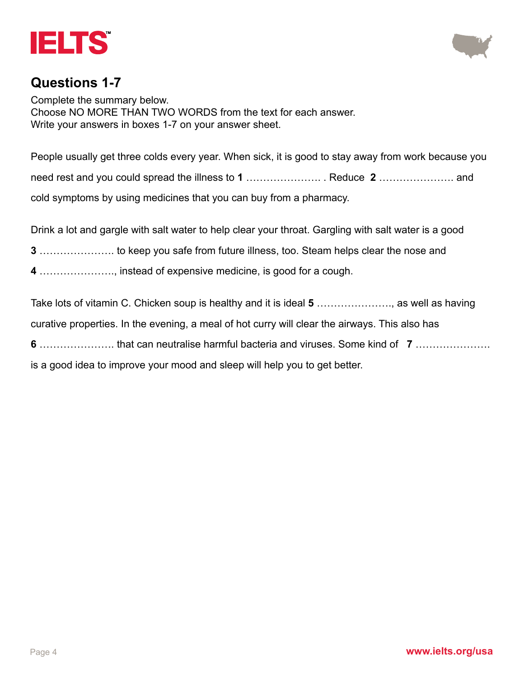



#### **Questions 1-7**

Complete the summary below. Choose NO MORE THAN TWO WORDS from the text for each answer. Write your answers in boxes 1-7 on your answer sheet.

People usually get three colds every year. When sick, it is good to stay away from work because you need rest and you could spread the illness to **1** …………………. . Reduce **2** …………………. and cold symptoms by using medicines that you can buy from a pharmacy.

Drink a lot and gargle with salt water to help clear your throat. Gargling with salt water is a good

**3** …………………. to keep you safe from future illness, too. Steam helps clear the nose and

**4** …………………., instead of expensive medicine, is good for a cough.

Take lots of vitamin C. Chicken soup is healthy and it is ideal **5** …………………., as well as having curative properties. In the evening, a meal of hot curry will clear the airways. This also has

**6** …………………. that can neutralise harmful bacteria and viruses. Some kind of **7** ………………….

is a good idea to improve your mood and sleep will help you to get better.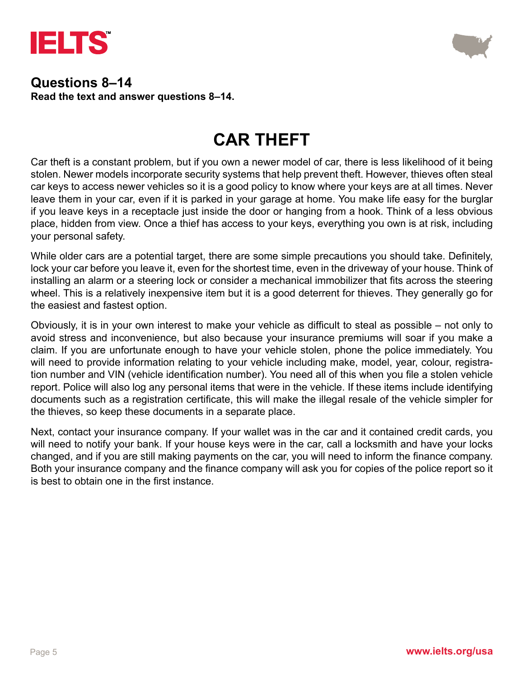



#### **Questions 8–14 Read the text and answer questions 8–14.**

### **CAR THEFT**

Car theft is a constant problem, but if you own a newer model of car, there is less likelihood of it being stolen. Newer models incorporate security systems that help prevent theft. However, thieves often steal car keys to access newer vehicles so it is a good policy to know where your keys are at all times. Never leave them in your car, even if it is parked in your garage at home. You make life easy for the burglar if you leave keys in a receptacle just inside the door or hanging from a hook. Think of a less obvious place, hidden from view. Once a thief has access to your keys, everything you own is at risk, including your personal safety.

While older cars are a potential target, there are some simple precautions you should take. Definitely, lock your car before you leave it, even for the shortest time, even in the driveway of your house. Think of installing an alarm or a steering lock or consider a mechanical immobilizer that fits across the steering wheel. This is a relatively inexpensive item but it is a good deterrent for thieves. They generally go for the easiest and fastest option.

Obviously, it is in your own interest to make your vehicle as difficult to steal as possible – not only to avoid stress and inconvenience, but also because your insurance premiums will soar if you make a claim. If you are unfortunate enough to have your vehicle stolen, phone the police immediately. You will need to provide information relating to your vehicle including make, model, year, colour, registration number and VIN (vehicle identification number). You need all of this when you file a stolen vehicle report. Police will also log any personal items that were in the vehicle. If these items include identifying documents such as a registration certificate, this will make the illegal resale of the vehicle simpler for the thieves, so keep these documents in a separate place.

Next, contact your insurance company. If your wallet was in the car and it contained credit cards, you will need to notify your bank. If your house keys were in the car, call a locksmith and have your locks changed, and if you are still making payments on the car, you will need to inform the finance company. Both your insurance company and the finance company will ask you for copies of the police report so it is best to obtain one in the first instance.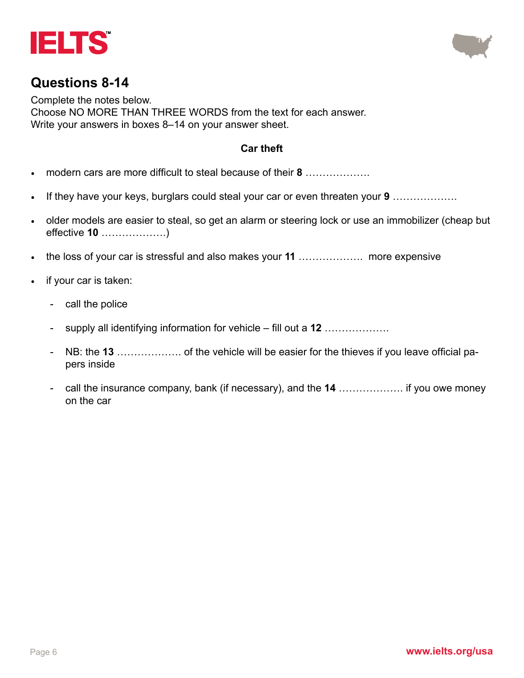



### **Questions 8-14**

Complete the notes below. Choose NO MORE THAN THREE WORDS from the text for each answer. Write your answers in boxes 8–14 on your answer sheet.

#### **Car theft**

- modern cars are more difficult to steal because of their **8** ……………….
- If they have your keys, burglars could steal your car or even threaten your **9** ……………….
- older models are easier to steal, so get an alarm or steering lock or use an immobilizer (cheap but effective **10** ……………….)
- the loss of your car is stressful and also makes your **11** ………………. more expensive
- if your car is taken:
	- call the police
	- supply all identifying information for vehicle fill out a **12** ……………….
	- NB: the **13** ………………. of the vehicle will be easier for the thieves if you leave official papers inside
	- call the insurance company, bank (if necessary), and the **14** ………………. if you owe money on the car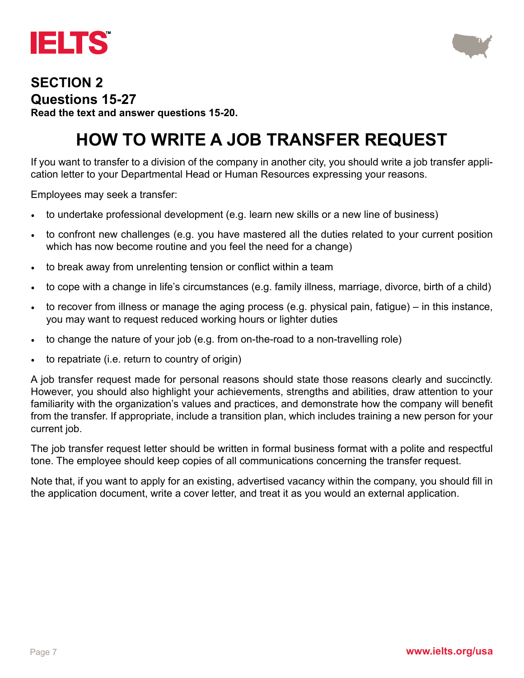



#### **SECTION 2 Questions 15-27 Read the text and answer questions 15-20.**

# **HOW TO WRITE A JOB TRANSFER REQUEST**

If you want to transfer to a division of the company in another city, you should write a job transfer application letter to your Departmental Head or Human Resources expressing your reasons.

Employees may seek a transfer:

- to undertake professional development (e.g. learn new skills or a new line of business)
- to confront new challenges (e.g. you have mastered all the duties related to your current position which has now become routine and you feel the need for a change)
- to break away from unrelenting tension or conflict within a team
- to cope with a change in life's circumstances (e.g. family illness, marriage, divorce, birth of a child)
- to recover from illness or manage the aging process (e.g. physical pain, fatigue) in this instance, you may want to request reduced working hours or lighter duties
- to change the nature of your job (e.g. from on-the-road to a non-travelling role)
- to repatriate (i.e. return to country of origin)

A job transfer request made for personal reasons should state those reasons clearly and succinctly. However, you should also highlight your achievements, strengths and abilities, draw attention to your familiarity with the organization's values and practices, and demonstrate how the company will benefit from the transfer. If appropriate, include a transition plan, which includes training a new person for your current job.

The job transfer request letter should be written in formal business format with a polite and respectful tone. The employee should keep copies of all communications concerning the transfer request.

Note that, if you want to apply for an existing, advertised vacancy within the company, you should fill in the application document, write a cover letter, and treat it as you would an external application.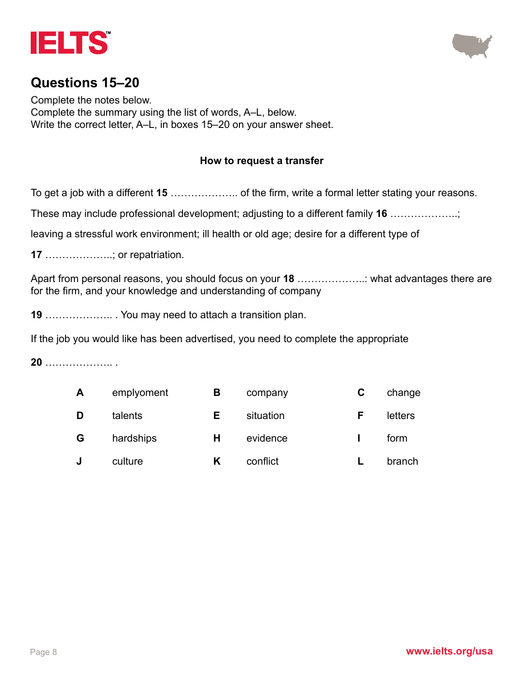



### **Questions 15–20**

Complete the notes below. Complete the summary using the list of words, A–L, below. Write the correct letter, A–L, in boxes 15–20 on your answer sheet.

#### **How to request a transfer**

To get a job with a different **15** ……………….. of the firm, write a formal letter stating your reasons.

These may include professional development; adjusting to a different family **16** ………………..;

leaving a stressful work environment; ill health or old age; desire for a different type of

**17** ………………..; or repatriation.

Apart from personal reasons, you should focus on your **18** ………………..: what advantages there are for the firm, and your knowledge and understanding of company

**19** ……………….. . You may need to attach a transition plan.

If the job you would like has been advertised, you need to complete the appropriate

**20** ……………….. .

| A | emplyoment | в | company   | C | change  |
|---|------------|---|-----------|---|---------|
| D | talents    | Е | situation | E | letters |
| G | hardships  | н | evidence  |   | form    |
|   | culture    |   | conflict  |   | branch  |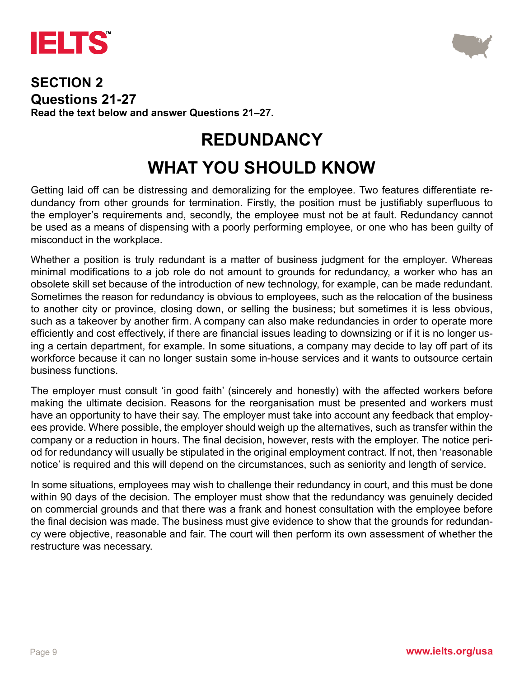



#### **SECTION 2 Questions 21-27 Read the text below and answer Questions 21–27.**

### **REDUNDANCY**

# **WHAT YOU SHOULD KNOW**

Getting laid off can be distressing and demoralizing for the employee. Two features differentiate redundancy from other grounds for termination. Firstly, the position must be justifiably superfluous to the employer's requirements and, secondly, the employee must not be at fault. Redundancy cannot be used as a means of dispensing with a poorly performing employee, or one who has been guilty of misconduct in the workplace.

Whether a position is truly redundant is a matter of business judgment for the employer. Whereas minimal modifications to a job role do not amount to grounds for redundancy, a worker who has an obsolete skill set because of the introduction of new technology, for example, can be made redundant. Sometimes the reason for redundancy is obvious to employees, such as the relocation of the business to another city or province, closing down, or selling the business; but sometimes it is less obvious, such as a takeover by another firm. A company can also make redundancies in order to operate more efficiently and cost effectively, if there are financial issues leading to downsizing or if it is no longer using a certain department, for example. In some situations, a company may decide to lay off part of its workforce because it can no longer sustain some in-house services and it wants to outsource certain business functions.

The employer must consult 'in good faith' (sincerely and honestly) with the affected workers before making the ultimate decision. Reasons for the reorganisation must be presented and workers must have an opportunity to have their say. The employer must take into account any feedback that employees provide. Where possible, the employer should weigh up the alternatives, such as transfer within the company or a reduction in hours. The final decision, however, rests with the employer. The notice period for redundancy will usually be stipulated in the original employment contract. If not, then 'reasonable notice' is required and this will depend on the circumstances, such as seniority and length of service.

In some situations, employees may wish to challenge their redundancy in court, and this must be done within 90 days of the decision. The employer must show that the redundancy was genuinely decided on commercial grounds and that there was a frank and honest consultation with the employee before the final decision was made. The business must give evidence to show that the grounds for redundancy were objective, reasonable and fair. The court will then perform its own assessment of whether the restructure was necessary.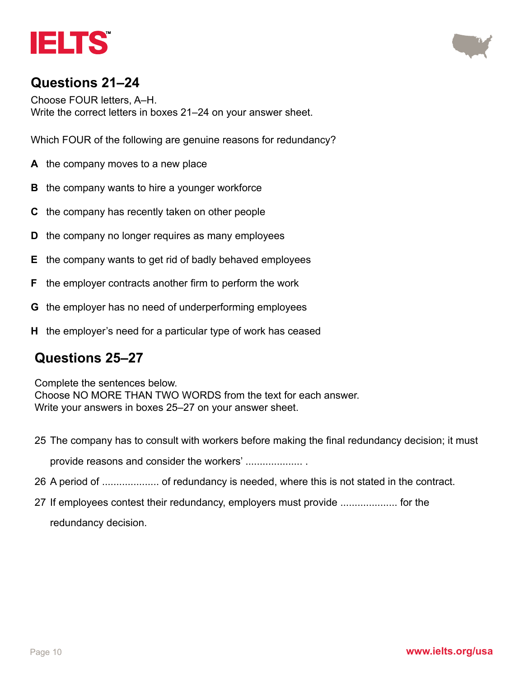



### **Questions 21–24**

Choose FOUR letters, A–H. Write the correct letters in boxes 21–24 on your answer sheet.

Which FOUR of the following are genuine reasons for redundancy?

- **A** the company moves to a new place
- **B** the company wants to hire a younger workforce
- **C** the company has recently taken on other people
- **D** the company no longer requires as many employees
- **E** the company wants to get rid of badly behaved employees
- **F** the employer contracts another firm to perform the work
- **G** the employer has no need of underperforming employees
- **H** the employer's need for a particular type of work has ceased

### **Questions 25–27**

Complete the sentences below. Choose NO MORE THAN TWO WORDS from the text for each answer. Write your answers in boxes 25–27 on your answer sheet.

- 25 The company has to consult with workers before making the final redundancy decision; it must provide reasons and consider the workers' .................... .
- 26 A period of .................... of redundancy is needed, where this is not stated in the contract.
- 27 If employees contest their redundancy, employers must provide .................... for the redundancy decision.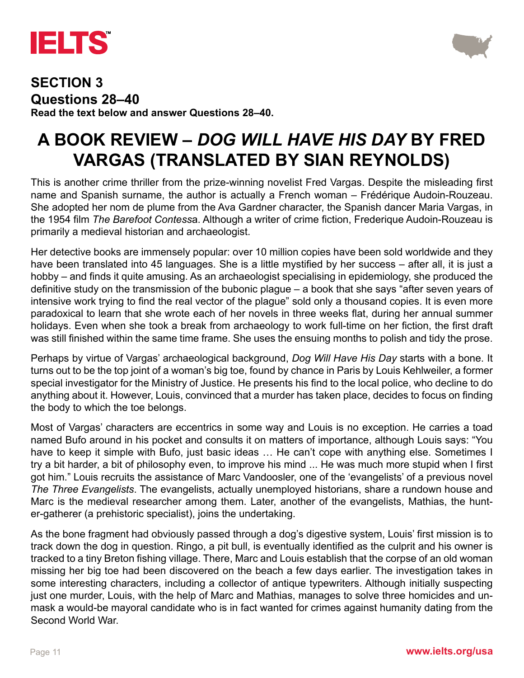



#### **SECTION 3 Questions 28–40 Read the text below and answer Questions 28–40.**

# **A BOOK REVIEW –** *DOG WILL HAVE HIS DAY* **BY FRED VARGAS (TRANSLATED BY SIAN REYNOLDS)**

This is another crime thriller from the prize-winning novelist Fred Vargas. Despite the misleading first name and Spanish surname, the author is actually a French woman – Frédérique Audoin-Rouzeau. She adopted her nom de plume from the Ava Gardner character, the Spanish dancer Maria Vargas, in the 1954 film *The Barefoot Contess*a. Although a writer of crime fiction, Frederique Audoin-Rouzeau is primarily a medieval historian and archaeologist.

Her detective books are immensely popular: over 10 million copies have been sold worldwide and they have been translated into 45 languages. She is a little mystified by her success – after all, it is just a hobby – and finds it quite amusing. As an archaeologist specialising in epidemiology, she produced the definitive study on the transmission of the bubonic plague – a book that she says "after seven years of intensive work trying to find the real vector of the plague" sold only a thousand copies. It is even more paradoxical to learn that she wrote each of her novels in three weeks flat, during her annual summer holidays. Even when she took a break from archaeology to work full-time on her fiction, the first draft was still finished within the same time frame. She uses the ensuing months to polish and tidy the prose.

Perhaps by virtue of Vargas' archaeological background, *Dog Will Have His Day* starts with a bone. It turns out to be the top joint of a woman's big toe, found by chance in Paris by Louis Kehlweiler, a former special investigator for the Ministry of Justice. He presents his find to the local police, who decline to do anything about it. However, Louis, convinced that a murder has taken place, decides to focus on finding the body to which the toe belongs.

Most of Vargas' characters are eccentrics in some way and Louis is no exception. He carries a toad named Bufo around in his pocket and consults it on matters of importance, although Louis says: "You have to keep it simple with Bufo, just basic ideas ... He can't cope with anything else. Sometimes I try a bit harder, a bit of philosophy even, to improve his mind ... He was much more stupid when I first got him." Louis recruits the assistance of Marc Vandoosler, one of the 'evangelists' of a previous novel *The Three Evangelists*. The evangelists, actually unemployed historians, share a rundown house and Marc is the medieval researcher among them. Later, another of the evangelists, Mathias, the hunter-gatherer (a prehistoric specialist), joins the undertaking.

As the bone fragment had obviously passed through a dog's digestive system, Louis' first mission is to track down the dog in question. Ringo, a pit bull, is eventually identified as the culprit and his owner is tracked to a tiny Breton fishing village. There, Marc and Louis establish that the corpse of an old woman missing her big toe had been discovered on the beach a few days earlier. The investigation takes in some interesting characters, including a collector of antique typewriters. Although initially suspecting just one murder, Louis, with the help of Marc and Mathias, manages to solve three homicides and unmask a would-be mayoral candidate who is in fact wanted for crimes against humanity dating from the Second World War.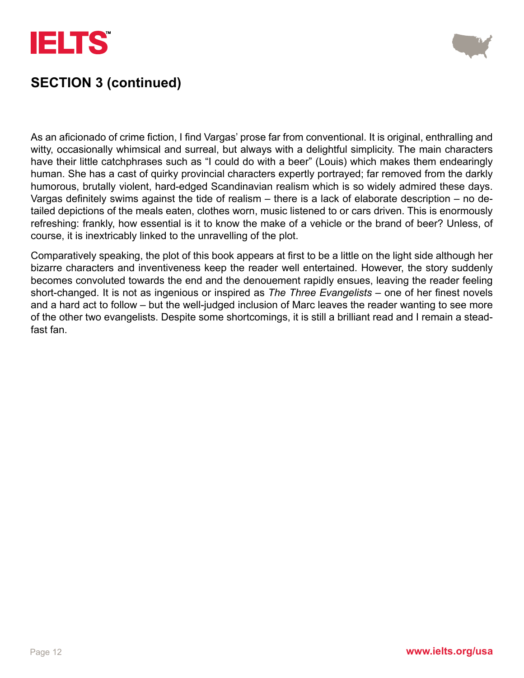



### **SECTION 3 (continued)**

As an aficionado of crime fiction, I find Vargas' prose far from conventional. It is original, enthralling and witty, occasionally whimsical and surreal, but always with a delightful simplicity. The main characters have their little catchphrases such as "I could do with a beer" (Louis) which makes them endearingly human. She has a cast of quirky provincial characters expertly portrayed; far removed from the darkly humorous, brutally violent, hard-edged Scandinavian realism which is so widely admired these days. Vargas definitely swims against the tide of realism – there is a lack of elaborate description – no detailed depictions of the meals eaten, clothes worn, music listened to or cars driven. This is enormously refreshing: frankly, how essential is it to know the make of a vehicle or the brand of beer? Unless, of course, it is inextricably linked to the unravelling of the plot.

Comparatively speaking, the plot of this book appears at first to be a little on the light side although her bizarre characters and inventiveness keep the reader well entertained. However, the story suddenly becomes convoluted towards the end and the denouement rapidly ensues, leaving the reader feeling short-changed. It is not as ingenious or inspired as *The Three Evangelists* – one of her finest novels and a hard act to follow – but the well-judged inclusion of Marc leaves the reader wanting to see more of the other two evangelists. Despite some shortcomings, it is still a brilliant read and I remain a steadfast fan.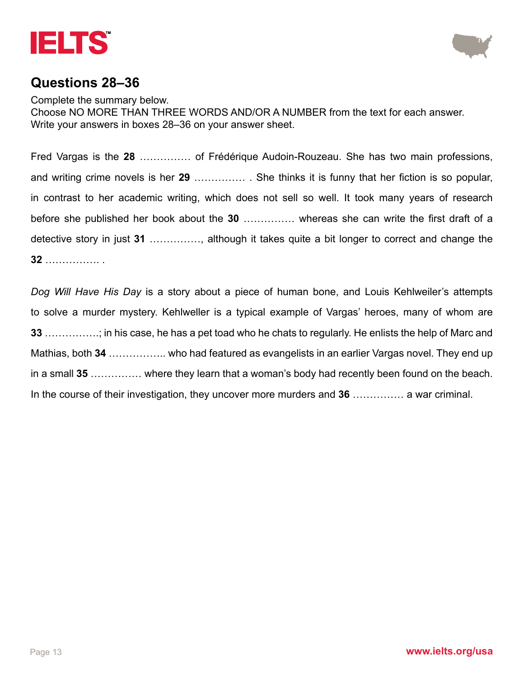



### **Questions 28–36**

Complete the summary below. Choose NO MORE THAN THREE WORDS AND/OR A NUMBER from the text for each answer. Write your answers in boxes 28–36 on your answer sheet.

Fred Vargas is the **28** …………… of Frédérique Audoin-Rouzeau. She has two main professions, and writing crime novels is her **29** …………… . She thinks it is funny that her fiction is so popular, in contrast to her academic writing, which does not sell so well. It took many years of research before she published her book about the **30** …………… whereas she can write the first draft of a detective story in just **31** ……………, although it takes quite a bit longer to correct and change the **32** ……………. .

*Dog Will Have His Day* is a story about a piece of human bone, and Louis Kehlweiler's attempts to solve a murder mystery. Kehlweller is a typical example of Vargas' heroes, many of whom are **33** …………….; in his case, he has a pet toad who he chats to regularly. He enlists the help of Marc and Mathias, both **34** …………….. who had featured as evangelists in an earlier Vargas novel. They end up in a small **35** …………… where they learn that a woman's body had recently been found on the beach. In the course of their investigation, they uncover more murders and **36** …………… a war criminal.